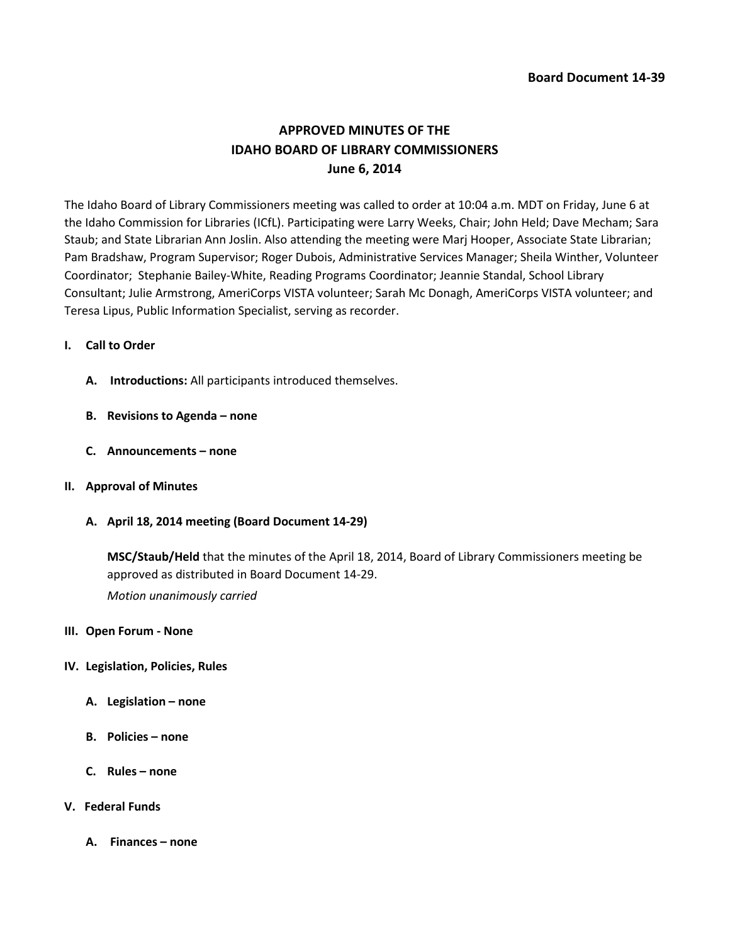# **APPROVED MINUTES OF THE IDAHO BOARD OF LIBRARY COMMISSIONERS June 6, 2014**

The Idaho Board of Library Commissioners meeting was called to order at 10:04 a.m. MDT on Friday, June 6 at the Idaho Commission for Libraries (ICfL). Participating were Larry Weeks, Chair; John Held; Dave Mecham; Sara Staub; and State Librarian Ann Joslin. Also attending the meeting were Marj Hooper, Associate State Librarian; Pam Bradshaw, Program Supervisor; Roger Dubois, Administrative Services Manager; Sheila Winther, Volunteer Coordinator; Stephanie Bailey-White, Reading Programs Coordinator; Jeannie Standal, School Library Consultant; Julie Armstrong, AmeriCorps VISTA volunteer; Sarah Mc Donagh, AmeriCorps VISTA volunteer; and Teresa Lipus, Public Information Specialist, serving as recorder.

# **I. Call to Order**

- **A. Introductions:** All participants introduced themselves.
- **B. Revisions to Agenda – none**
- **C. Announcements – none**
- **II. Approval of Minutes**
	- **A. April 18, 2014 meeting (Board Document 14-29)**

**MSC/Staub/Held** that the minutes of the April 18, 2014, Board of Library Commissioners meeting be approved as distributed in Board Document 14-29.

*Motion unanimously carried*

### **III. Open Forum - None**

### **IV. Legislation, Policies, Rules**

- **A. Legislation – none**
- **B. Policies – none**
- **C. Rules – none**

## **V. Federal Funds**

**A. Finances – none**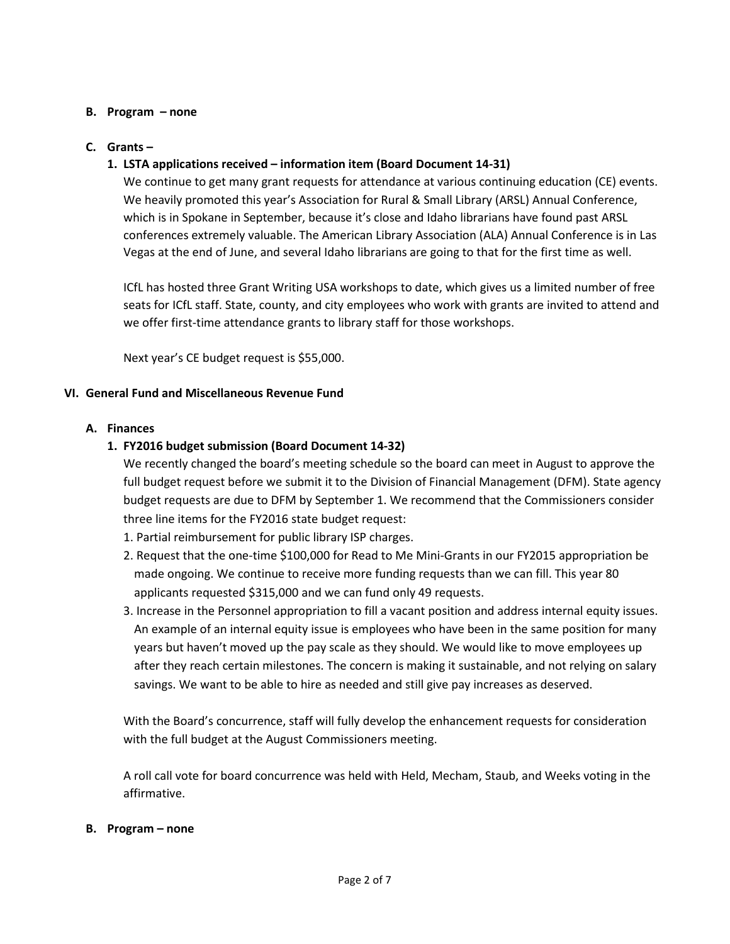# **B. Program – none**

# **C. Grants –**

# **1. LSTA applications received – information item (Board Document 14-31)**

We continue to get many grant requests for attendance at various continuing education (CE) events. We heavily promoted this year's Association for Rural & Small Library (ARSL) Annual Conference, which is in Spokane in September, because it's close and Idaho librarians have found past ARSL conferences extremely valuable. The American Library Association (ALA) Annual Conference is in Las Vegas at the end of June, and several Idaho librarians are going to that for the first time as well.

ICfL has hosted three Grant Writing USA workshops to date, which gives us a limited number of free seats for ICfL staff. State, county, and city employees who work with grants are invited to attend and we offer first-time attendance grants to library staff for those workshops.

Next year's CE budget request is \$55,000.

# **VI. General Fund and Miscellaneous Revenue Fund**

# **A. Finances**

# **1. FY2016 budget submission (Board Document 14-32)**

We recently changed the board's meeting schedule so the board can meet in August to approve the full budget request before we submit it to the Division of Financial Management (DFM). State agency budget requests are due to DFM by September 1. We recommend that the Commissioners consider three line items for the FY2016 state budget request:

- 1. Partial reimbursement for public library ISP charges.
- 2. Request that the one-time \$100,000 for Read to Me Mini-Grants in our FY2015 appropriation be made ongoing. We continue to receive more funding requests than we can fill. This year 80 applicants requested \$315,000 and we can fund only 49 requests.
- 3. Increase in the Personnel appropriation to fill a vacant position and address internal equity issues. An example of an internal equity issue is employees who have been in the same position for many years but haven't moved up the pay scale as they should. We would like to move employees up after they reach certain milestones. The concern is making it sustainable, and not relying on salary savings. We want to be able to hire as needed and still give pay increases as deserved.

With the Board's concurrence, staff will fully develop the enhancement requests for consideration with the full budget at the August Commissioners meeting.

A roll call vote for board concurrence was held with Held, Mecham, Staub, and Weeks voting in the affirmative.

### **B. Program – none**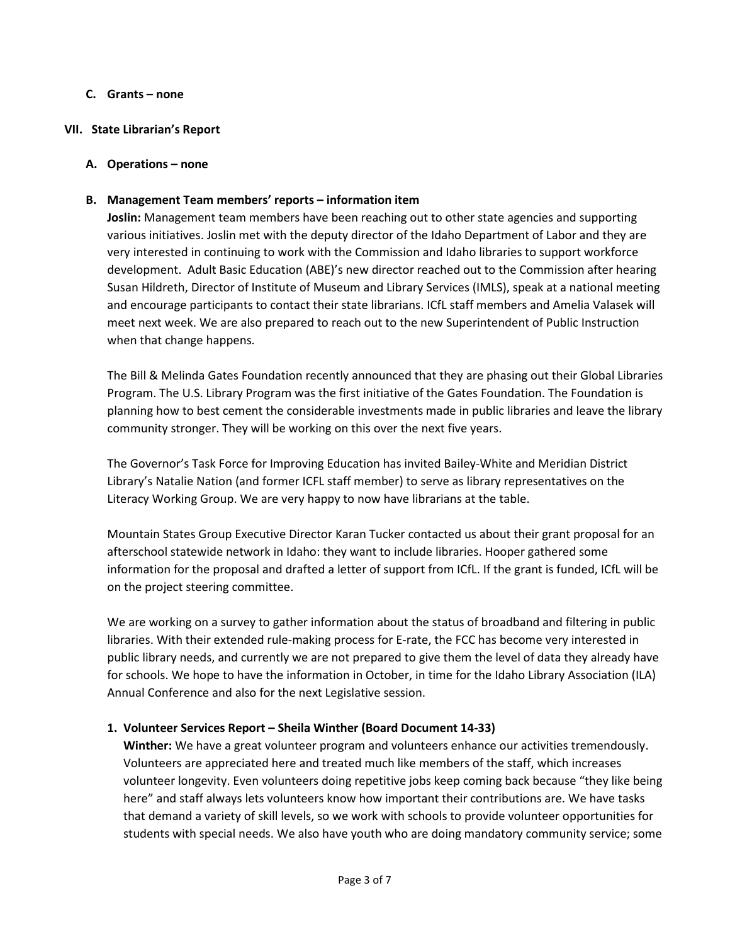# **C. Grants – none**

## **VII. State Librarian's Report**

## **A. Operations – none**

# **B. Management Team members' reports – information item**

**Joslin:** Management team members have been reaching out to other state agencies and supporting various initiatives. Joslin met with the deputy director of the Idaho Department of Labor and they are very interested in continuing to work with the Commission and Idaho libraries to support workforce development. Adult Basic Education (ABE)'s new director reached out to the Commission after hearing Susan Hildreth, Director of Institute of Museum and Library Services (IMLS), speak at a national meeting and encourage participants to contact their state librarians. ICfL staff members and Amelia Valasek will meet next week. We are also prepared to reach out to the new Superintendent of Public Instruction when that change happens.

The Bill & Melinda Gates Foundation recently announced that they are phasing out their Global Libraries Program. The U.S. Library Program was the first initiative of the Gates Foundation. The Foundation is planning how to best cement the considerable investments made in public libraries and leave the library community stronger. They will be working on this over the next five years.

The Governor's Task Force for Improving Education has invited Bailey-White and Meridian District Library's Natalie Nation (and former ICFL staff member) to serve as library representatives on the Literacy Working Group. We are very happy to now have librarians at the table.

Mountain States Group Executive Director Karan Tucker contacted us about their grant proposal for an afterschool statewide network in Idaho: they want to include libraries. Hooper gathered some information for the proposal and drafted a letter of support from ICfL. If the grant is funded, ICfL will be on the project steering committee.

We are working on a survey to gather information about the status of broadband and filtering in public libraries. With their extended rule-making process for E-rate, the FCC has become very interested in public library needs, and currently we are not prepared to give them the level of data they already have for schools. We hope to have the information in October, in time for the Idaho Library Association (ILA) Annual Conference and also for the next Legislative session.

# **1. Volunteer Services Report – Sheila Winther (Board Document 14-33)**

**Winther:** We have a great volunteer program and volunteers enhance our activities tremendously. Volunteers are appreciated here and treated much like members of the staff, which increases volunteer longevity. Even volunteers doing repetitive jobs keep coming back because "they like being here" and staff always lets volunteers know how important their contributions are. We have tasks that demand a variety of skill levels, so we work with schools to provide volunteer opportunities for students with special needs. We also have youth who are doing mandatory community service; some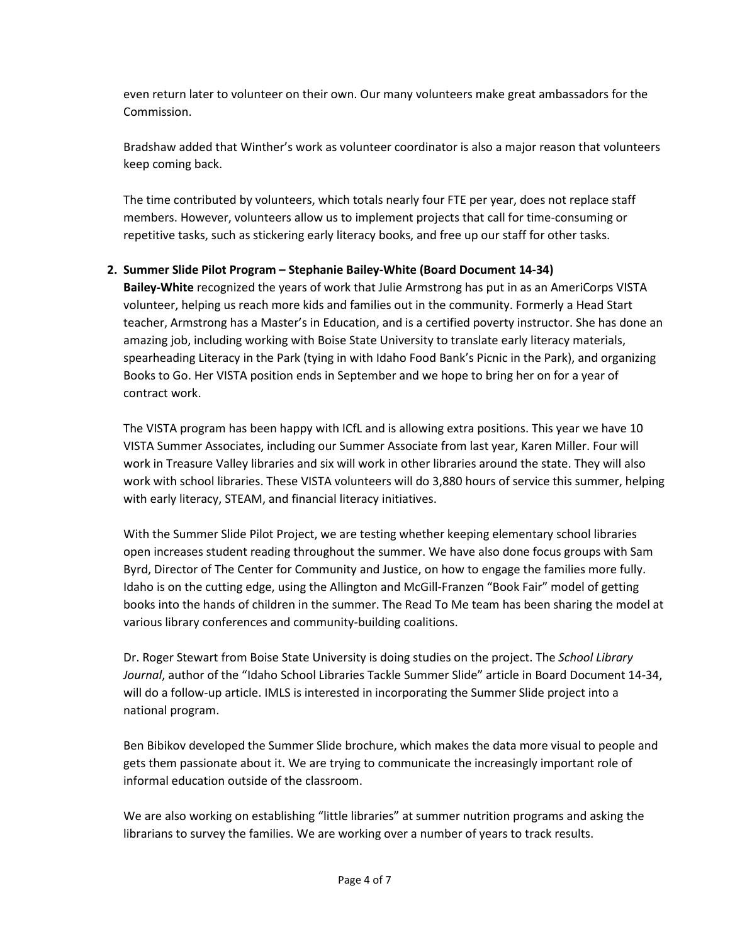even return later to volunteer on their own. Our many volunteers make great ambassadors for the Commission.

Bradshaw added that Winther's work as volunteer coordinator is also a major reason that volunteers keep coming back.

The time contributed by volunteers, which totals nearly four FTE per year, does not replace staff members. However, volunteers allow us to implement projects that call for time-consuming or repetitive tasks, such as stickering early literacy books, and free up our staff for other tasks.

# **2. Summer Slide Pilot Program – Stephanie Bailey-White (Board Document 14-34)**

**Bailey-White** recognized the years of work that Julie Armstrong has put in as an AmeriCorps VISTA volunteer, helping us reach more kids and families out in the community. Formerly a Head Start teacher, Armstrong has a Master's in Education, and is a certified poverty instructor. She has done an amazing job, including working with Boise State University to translate early literacy materials, spearheading Literacy in the Park (tying in with Idaho Food Bank's Picnic in the Park), and organizing Books to Go. Her VISTA position ends in September and we hope to bring her on for a year of contract work.

The VISTA program has been happy with ICfL and is allowing extra positions. This year we have 10 VISTA Summer Associates, including our Summer Associate from last year, Karen Miller. Four will work in Treasure Valley libraries and six will work in other libraries around the state. They will also work with school libraries. These VISTA volunteers will do 3,880 hours of service this summer, helping with early literacy, STEAM, and financial literacy initiatives.

With the Summer Slide Pilot Project, we are testing whether keeping elementary school libraries open increases student reading throughout the summer. We have also done focus groups with Sam Byrd, Director of The Center for Community and Justice, on how to engage the families more fully. Idaho is on the cutting edge, using the Allington and McGill-Franzen "Book Fair" model of getting books into the hands of children in the summer. The Read To Me team has been sharing the model at various library conferences and community-building coalitions.

Dr. Roger Stewart from Boise State University is doing studies on the project. The *School Library Journal*, author of the "Idaho School Libraries Tackle Summer Slide" article in Board Document 14-34, will do a follow-up article. IMLS is interested in incorporating the Summer Slide project into a national program.

Ben Bibikov developed the Summer Slide brochure, which makes the data more visual to people and gets them passionate about it. We are trying to communicate the increasingly important role of informal education outside of the classroom.

We are also working on establishing "little libraries" at summer nutrition programs and asking the librarians to survey the families. We are working over a number of years to track results.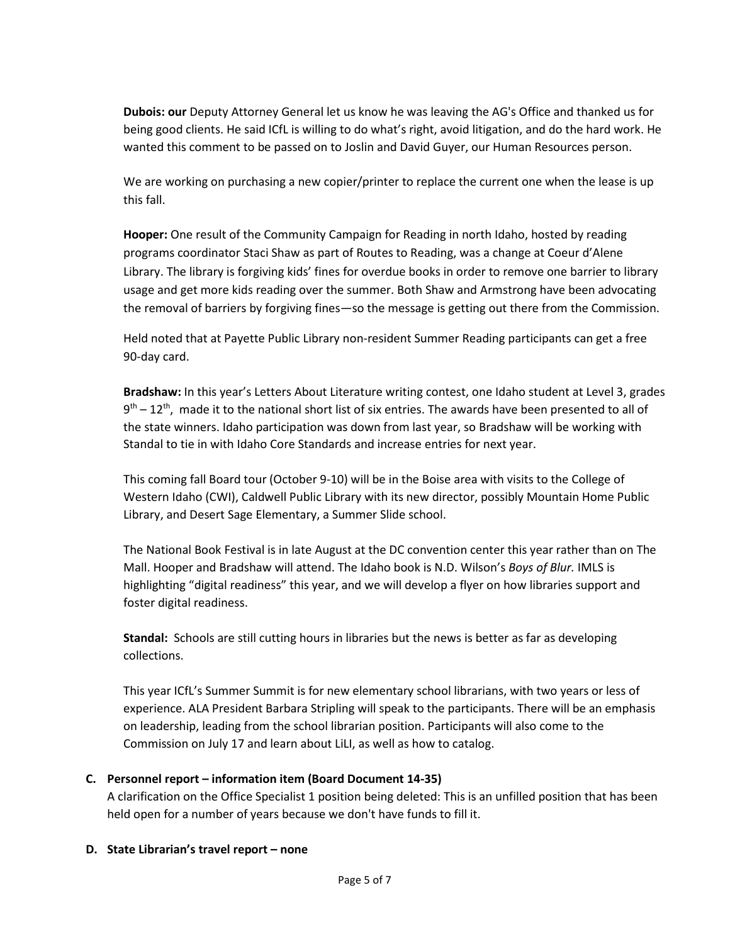**Dubois: our** Deputy Attorney General let us know he was leaving the AG's Office and thanked us for being good clients. He said ICfL is willing to do what's right, avoid litigation, and do the hard work. He wanted this comment to be passed on to Joslin and David Guyer, our Human Resources person.

We are working on purchasing a new copier/printer to replace the current one when the lease is up this fall.

**Hooper:** One result of the Community Campaign for Reading in north Idaho, hosted by reading programs coordinator Staci Shaw as part of Routes to Reading, was a change at Coeur d'Alene Library. The library is forgiving kids' fines for overdue books in order to remove one barrier to library usage and get more kids reading over the summer. Both Shaw and Armstrong have been advocating the removal of barriers by forgiving fines—so the message is getting out there from the Commission.

Held noted that at Payette Public Library non-resident Summer Reading participants can get a free 90-day card.

**Bradshaw:** In this year's Letters About Literature writing contest, one Idaho student at Level 3, grades  $9<sup>th</sup> - 12<sup>th</sup>$ , made it to the national short list of six entries. The awards have been presented to all of the state winners. Idaho participation was down from last year, so Bradshaw will be working with Standal to tie in with Idaho Core Standards and increase entries for next year.

This coming fall Board tour (October 9-10) will be in the Boise area with visits to the College of Western Idaho (CWI), Caldwell Public Library with its new director, possibly Mountain Home Public Library, and Desert Sage Elementary, a Summer Slide school.

The National Book Festival is in late August at the DC convention center this year rather than on The Mall. Hooper and Bradshaw will attend. The Idaho book is N.D. Wilson's *Boys of Blur.* IMLS is highlighting "digital readiness" this year, and we will develop a flyer on how libraries support and foster digital readiness.

**Standal:** Schools are still cutting hours in libraries but the news is better as far as developing collections.

This year ICfL's Summer Summit is for new elementary school librarians, with two years or less of experience. ALA President Barbara Stripling will speak to the participants. There will be an emphasis on leadership, leading from the school librarian position. Participants will also come to the Commission on July 17 and learn about LiLI, as well as how to catalog.

# **C. Personnel report – information item (Board Document 14-35)**

A clarification on the Office Specialist 1 position being deleted: This is an unfilled position that has been held open for a number of years because we don't have funds to fill it.

# **D. State Librarian's travel report – none**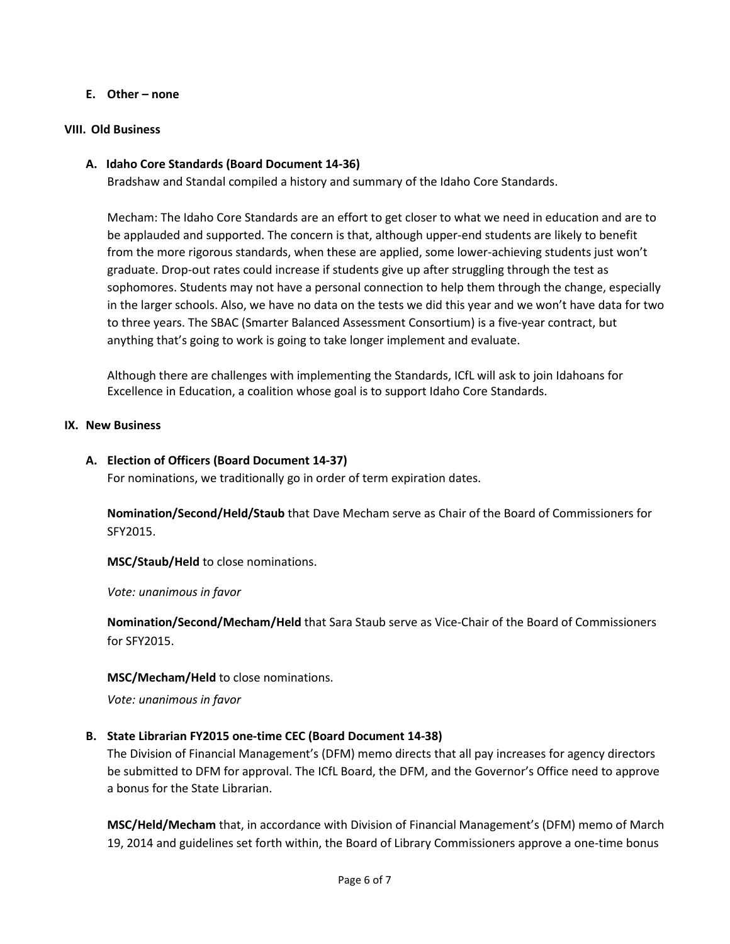### **E. Other – none**

### **VIII. Old Business**

## **A. Idaho Core Standards (Board Document 14-36)**

Bradshaw and Standal compiled a history and summary of the Idaho Core Standards.

Mecham: The Idaho Core Standards are an effort to get closer to what we need in education and are to be applauded and supported. The concern is that, although upper-end students are likely to benefit from the more rigorous standards, when these are applied, some lower-achieving students just won't graduate. Drop-out rates could increase if students give up after struggling through the test as sophomores. Students may not have a personal connection to help them through the change, especially in the larger schools. Also, we have no data on the tests we did this year and we won't have data for two to three years. The SBAC (Smarter Balanced Assessment Consortium) is a five-year contract, but anything that's going to work is going to take longer implement and evaluate.

Although there are challenges with implementing the Standards, ICfL will ask to join Idahoans for Excellence in Education, a coalition whose goal is to support Idaho Core Standards.

### **IX. New Business**

### **A. Election of Officers (Board Document 14-37)**

For nominations, we traditionally go in order of term expiration dates.

**Nomination/Second/Held/Staub** that Dave Mecham serve as Chair of the Board of Commissioners for SFY2015.

**MSC/Staub/Held** to close nominations.

*Vote: unanimous in favor*

**Nomination/Second/Mecham/Held** that Sara Staub serve as Vice-Chair of the Board of Commissioners for SFY2015.

### **MSC/Mecham/Held** to close nominations.

*Vote: unanimous in favor*

### **B. State Librarian FY2015 one-time CEC (Board Document 14-38)**

The Division of Financial Management's (DFM) memo directs that all pay increases for agency directors be submitted to DFM for approval. The ICfL Board, the DFM, and the Governor's Office need to approve a bonus for the State Librarian.

**MSC/Held/Mecham** that, in accordance with Division of Financial Management's (DFM) memo of March 19, 2014 and guidelines set forth within, the Board of Library Commissioners approve a one-time bonus